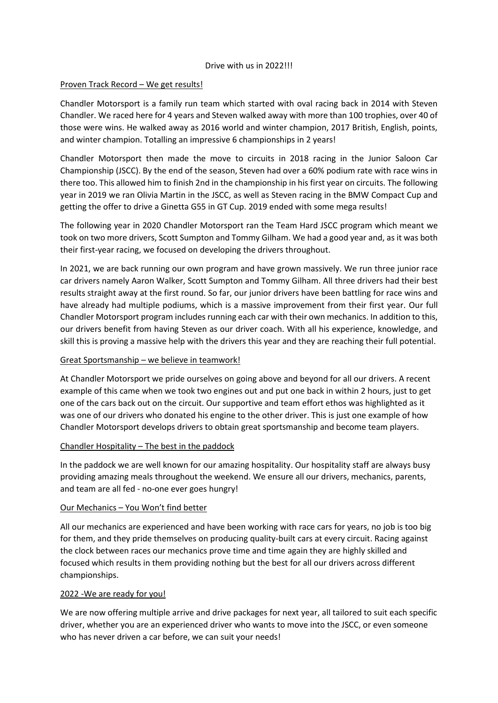### Drive with us in 2022!!!

# Proven Track Record – We get results!

Chandler Motorsport is a family run team which started with oval racing back in 2014 with Steven Chandler. We raced here for 4 years and Steven walked away with more than 100 trophies, over 40 of those were wins. He walked away as 2016 world and winter champion, 2017 British, English, points, and winter champion. Totalling an impressive 6 championships in 2 years!

Chandler Motorsport then made the move to circuits in 2018 racing in the Junior Saloon Car Championship (JSCC). By the end of the season, Steven had over a 60% podium rate with race wins in there too. This allowed him to finish 2nd in the championship in his first year on circuits. The following year in 2019 we ran Olivia Martin in the JSCC, as well as Steven racing in the BMW Compact Cup and getting the offer to drive a Ginetta G55 in GT Cup. 2019 ended with some mega results!

The following year in 2020 Chandler Motorsport ran the Team Hard JSCC program which meant we took on two more drivers, Scott Sumpton and Tommy Gilham. We had a good year and, as it was both their first-year racing, we focused on developing the drivers throughout.

In 2021, we are back running our own program and have grown massively. We run three junior race car drivers namely Aaron Walker, Scott Sumpton and Tommy Gilham. All three drivers had their best results straight away at the first round. So far, our junior drivers have been battling for race wins and have already had multiple podiums, which is a massive improvement from their first year. Our full Chandler Motorsport program includes running each car with their own mechanics. In addition to this, our drivers benefit from having Steven as our driver coach. With all his experience, knowledge, and skill this is proving a massive help with the drivers this year and they are reaching their full potential.

## Great Sportsmanship – we believe in teamwork!

At Chandler Motorsport we pride ourselves on going above and beyond for all our drivers. A recent example of this came when we took two engines out and put one back in within 2 hours, just to get one of the cars back out on the circuit. Our supportive and team effort ethos was highlighted as it was one of our drivers who donated his engine to the other driver. This is just one example of how Chandler Motorsport develops drivers to obtain great sportsmanship and become team players.

## Chandler Hospitality – The best in the paddock

In the paddock we are well known for our amazing hospitality. Our hospitality staff are always busy providing amazing meals throughout the weekend. We ensure all our drivers, mechanics, parents, and team are all fed - no-one ever goes hungry!

## Our Mechanics – You Won't find better

All our mechanics are experienced and have been working with race cars for years, no job is too big for them, and they pride themselves on producing quality-built cars at every circuit. Racing against the clock between races our mechanics prove time and time again they are highly skilled and focused which results in them providing nothing but the best for all our drivers across different championships.

## 2022 -We are ready for you!

We are now offering multiple arrive and drive packages for next year, all tailored to suit each specific driver, whether you are an experienced driver who wants to move into the JSCC, or even someone who has never driven a car before, we can suit your needs!